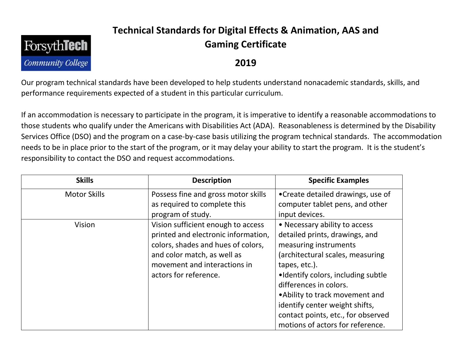## **ForsythTech Community College**

## **Technical Standards for Digital Effects & Animation, AAS and Gaming Certificate**

## **2019**

Our program technical standards have been developed to help students understand nonacademic standards, skills, and performance requirements expected of a student in this particular curriculum.

If an accommodation is necessary to participate in the program, it is imperative to identify a reasonable accommodations to those students who qualify under the Americans with Disabilities Act (ADA). Reasonableness is determined by the Disability Services Office (DSO) and the program on a case-by-case basis utilizing the program technical standards. The accommodation needs to be in place prior to the start of the program, or it may delay your ability to start the program. It is the student's responsibility to contact the DSO and request accommodations.

| <b>Skills</b>       | <b>Description</b>                  | <b>Specific Examples</b>           |
|---------------------|-------------------------------------|------------------------------------|
| <b>Motor Skills</b> | Possess fine and gross motor skills | • Create detailed drawings, use of |
|                     | as required to complete this        | computer tablet pens, and other    |
|                     | program of study.                   | input devices.                     |
| Vision              | Vision sufficient enough to access  | • Necessary ability to access      |
|                     | printed and electronic information, | detailed prints, drawings, and     |
|                     | colors, shades and hues of colors,  | measuring instruments              |
|                     | and color match, as well as         | (architectural scales, measuring   |
|                     | movement and interactions in        | tapes, etc.).                      |
|                     | actors for reference.               | •Identify colors, including subtle |
|                     |                                     | differences in colors.             |
|                     |                                     | • Ability to track movement and    |
|                     |                                     | identify center weight shifts,     |
|                     |                                     | contact points, etc., for observed |
|                     |                                     | motions of actors for reference.   |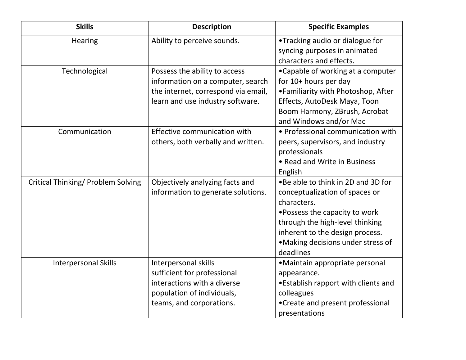| <b>Skills</b>                             | <b>Description</b>                  | <b>Specific Examples</b>            |
|-------------------------------------------|-------------------------------------|-------------------------------------|
| <b>Hearing</b>                            | Ability to perceive sounds.         | •Tracking audio or dialogue for     |
|                                           |                                     | syncing purposes in animated        |
|                                           |                                     | characters and effects.             |
| Technological                             | Possess the ability to access       | •Capable of working at a computer   |
|                                           | information on a computer, search   | for 10+ hours per day               |
|                                           | the internet, correspond via email, | •Familiarity with Photoshop, After  |
|                                           | learn and use industry software.    | Effects, AutoDesk Maya, Toon        |
|                                           |                                     | Boom Harmony, ZBrush, Acrobat       |
|                                           |                                     | and Windows and/or Mac              |
| Communication                             | Effective communication with        | • Professional communication with   |
|                                           | others, both verbally and written.  | peers, supervisors, and industry    |
|                                           |                                     | professionals                       |
|                                           |                                     | • Read and Write in Business        |
|                                           |                                     | English                             |
| <b>Critical Thinking/ Problem Solving</b> | Objectively analyzing facts and     | .Be able to think in 2D and 3D for  |
|                                           | information to generate solutions.  | conceptualization of spaces or      |
|                                           |                                     | characters.                         |
|                                           |                                     | • Possess the capacity to work      |
|                                           |                                     | through the high-level thinking     |
|                                           |                                     | inherent to the design process.     |
|                                           |                                     | •Making decisions under stress of   |
|                                           |                                     | deadlines                           |
| <b>Interpersonal Skills</b>               | Interpersonal skills                | •Maintain appropriate personal      |
|                                           | sufficient for professional         | appearance.                         |
|                                           | interactions with a diverse         | •Establish rapport with clients and |
|                                           | population of individuals,          | colleagues                          |
|                                           | teams, and corporations.            | •Create and present professional    |
|                                           |                                     | presentations                       |